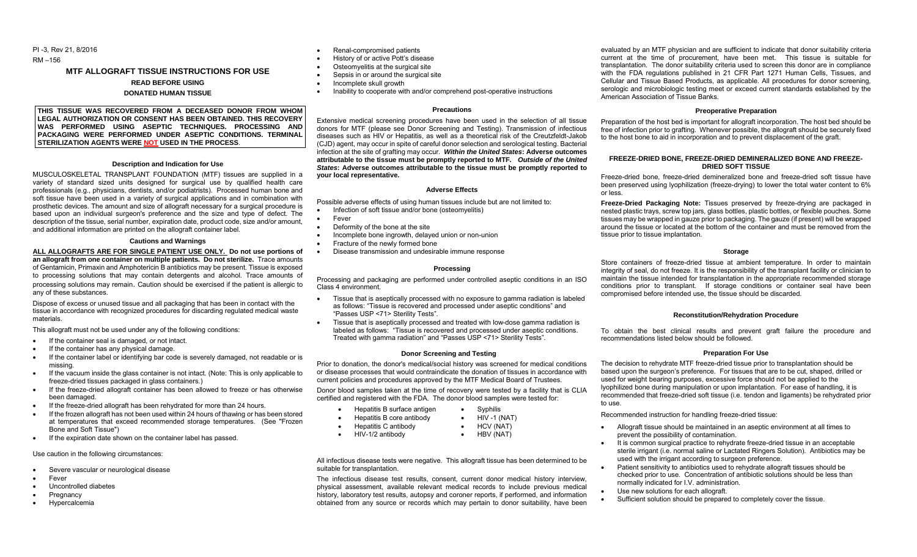PI -3, Rev 21, 8/2016

RM –156

# **MTF ALLOGRAFT TISSUE INSTRUCTIONS FOR USE**

# **READ BEFORE USING**

#### **DONATED HUMAN TISSUE**

**THIS TISSUE WAS RECOVERED FROM A DECEASED DONOR FROM WHOM LEGAL AUTHORIZATION OR CONSENT HAS BEEN OBTAINED. THIS RECOVERY WAS PERFORMED USING ASEPTIC TECHNIQUES. PROCESSING AND PACKAGING WERE PERFORMED UNDER ASEPTIC CONDITIONS. TERMINAL STERILIZATION AGENTS WERE NOT USED IN THE PROCESS**.

#### **Description and Indication for Use**

MUSCULOSKELETAL TRANSPLANT FOUNDATION (MTF) tissues are supplied in a variety of standard sized units designed for surgical use by qualified health care professionals (e.g., physicians, dentists, and/or podiatrists). Processed human bone and soft tissue have been used in a variety of surgical applications and in combination with prosthetic devices. The amount and size of allograft necessary for a surgical procedure is based upon an individual surgeon's preference and the size and type of defect. The description of the tissue, serial number, expiration date, product code, size and/or amount, and additional information are printed on the allograft container label.

#### **Cautions and Warnings**

**ALL ALLOGRAFTS ARE FOR SINGLE PATIENT USE ONLY. Do not use portions of an allograft from one container on multiple patients. Do not sterilize.** Trace amounts of Gentamicin, Primaxin and Amphotericin B antibiotics may be present. Tissue is exposed to processing solutions that may contain detergents and alcohol. Trace amounts of processing solutions may remain. Caution should be exercised if the patient is allergic to any of these substances.

Dispose of excess or unused tissue and all packaging that has been in contact with the tissue in accordance with recognized procedures for discarding regulated medical waste materials.

This allograft must not be used under any of the following conditions:

- If the container seal is damaged, or not intact.
- If the container has any physical damage.
- If the container label or identifying bar code is severely damaged, not readable or is missing.
- If the vacuum inside the glass container is not intact. (Note: This is only applicable to freeze-dried tissues packaged in glass containers.)
- If the freeze-dried allograft container has been allowed to freeze or has otherwise been damaged.
- If the freeze-dried allograft has been rehydrated for more than 24 hours.
- If the frozen allograft has not been used within 24 hours of thawing or has been stored at temperatures that exceed recommended storage temperatures. (See "Frozen Bone and Soft Tissue")
- **If the expiration date shown on the container label has passed.**

# Use caution in the following circumstances:

- Severe vascular or neurological disease
- Fever
- Uncontrolled diabetes
- **Pregnancy**
- Hypercalcemia
- Renal-compromised patients
- History of or active Pott's disease
- Osteomyelitis at the surgical site
- Sepsis in or around the surgical site
- Incomplete skull growth
- Inability to cooperate with and/or comprehend post-operative instructions

#### **Precautions**

Extensive medical screening procedures have been used in the selection of all tissue donors for MTF (please see Donor Screening and Testing). Transmission of infectious diseases such as HIV or Hepatitis, as well as a theoretical risk of the Creutzfeldt-Jakob (CJD) agent, may occur in spite of careful donor selection and serological testing. Bacterial infection at the site of grafting may occur. *Within the United States***: Adverse outcomes attributable to the tissue must be promptly reported to MTF.** *Outside of the United States***: Adverse outcomes attributable to the tissue must be promptly reported to your local representative.**

# **Adverse Effects**

Possible adverse effects of using human tissues include but are not limited to:

- Infection of soft tissue and/or bone (osteomyelitis)
- Fever
- Deformity of the bone at the site
- Incomplete bone ingrowth, delayed union or non-union
- Fracture of the newly formed bone
- Disease transmission and undesirable immune response

#### **Processing**

Processing and packaging are performed under controlled aseptic conditions in an ISO Class 4 environment.

- Tissue that is aseptically processed with no exposure to gamma radiation is labeled as follows: "Tissue is recovered and processed under aseptic conditions" and "Passes USP <71> Sterility Tests".
- Tissue that is aseptically processed and treated with low-dose gamma radiation is labeled as follows: "Tissue is recovered and processed under aseptic conditions. Treated with gamma radiation" and "Passes USP <71> Sterility Tests".

#### **Donor Screening and Testing**

Prior to donation, the donor's medical/social history was screened for medical conditions or disease processes that would contraindicate the donation of tissues in accordance with current policies and procedures approved by the MTF Medical Board of Trustees.

Donor blood samples taken at the time of recovery were tested by a facility that is CLIA certified and registered with the FDA. The donor blood samples were tested for:

- Hepatitis B surface antigen Syphilis
	-
	-

All infectious disease tests were negative. This allograft tissue has been determined to be suitable for transplantation.

The infectious disease test results, consent, current donor medical history interview, physical assessment, available relevant medical records to include previous medical history, laboratory test results, autopsy and coroner reports, if performed, and information obtained from any source or records which may pertain to donor suitability, have been

evaluated by an MTF physician and are sufficient to indicate that donor suitability criteria current at the time of procurement, have been met. This tissue is suitable for transplantation. The donor suitability criteria used to screen this donor are in compliance with the FDA regulations published in 21 CFR Part 1271 Human Cells, Tissues, and Cellular and Tissue Based Products, as applicable. All procedures for donor screening, serologic and microbiologic testing meet or exceed current standards established by the American Association of Tissue Banks.

# **Preoperative Preparation**

Preparation of the host bed is important for allograft incorporation. The host bed should be free of infection prior to grafting. Whenever possible, the allograft should be securely fixed to the host bone to aid in incorporation and to prevent displacement of the graft.

#### **FREEZE-DRIED BONE, FREEZE-DRIED DEMINERALIZED BONE AND FREEZE-DRIED SOFT TISSUE**

Freeze-dried bone, freeze-dried demineralized bone and freeze-dried soft tissue have been preserved using lyophilization (freeze-drying) to lower the total water content to 6% or less.

**Freeze-Dried Packaging Note:** Tissues preserved by freeze-drying are packaged in nested plastic trays, screw top jars, glass bottles, plastic bottles, or flexible pouches. Some tissues may be wrapped in gauze prior to packaging. The gauze (if present) will be wrapped around the tissue or located at the bottom of the container and must be removed from the tissue prior to tissue implantation.

#### **Storage**

Store containers of freeze-dried tissue at ambient temperature. In order to maintain integrity of seal, do not freeze. It is the responsibility of the transplant facility or clinician to maintain the tissue intended for transplantation in the appropriate recommended storage conditions prior to transplant. If storage conditions or container seal have been compromised before intended use, the tissue should be discarded.

## **Reconstitution/Rehydration Procedure**

To obtain the best clinical results and prevent graft failure the procedure and recommendations listed below should be followed.

#### **Preparation For Use**

The decision to rehydrate MTF freeze-dried tissue prior to transplantation should be based upon the surgeon's preference. For tissues that are to be cut, shaped, drilled or used for weight bearing purposes, excessive force should not be applied to the lyophilized bone during manipulation or upon implantation. For ease of handling, it is recommended that freeze-dried soft tissue (i.e. tendon and ligaments) be rehydrated prior to use.

Recommended instruction for handling freeze-dried tissue:

- Allograft tissue should be maintained in an aseptic environment at all times to prevent the possibility of contamination.
- It is common surgical practice to rehydrate freeze-dried tissue in an acceptable sterile irrigant (i.e. normal saline or Lactated Ringers Solution). Antibiotics may be used with the irrigant according to surgeon preference.
- Patient sensitivity to antibiotics used to rehydrate allograft tissues should be checked prior to use. Concentration of antibiotic solutions should be less than normally indicated for I.V. administration.
- Use new solutions for each allograft.
- Sufficient solution should be prepared to completely cover the tissue.
- HBV (NAT)
- $\bullet$  HIV -1 (NAT) • HCV (NAT)
- 
- Hepatitis B core antibody Hepatitis C antibody
- HIV-1/2 antibody
- -